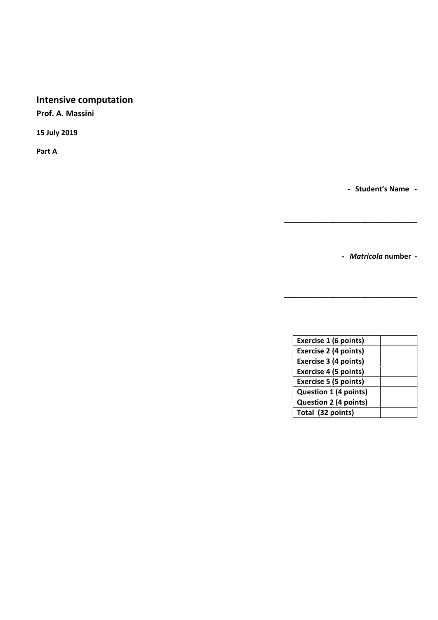# **Intensive computation**

**Prof. A. Massini**

**15 July 2019**

**Part A**

**- Student's Name -**

**-** *Matricola* **number -**

**\_\_\_\_\_\_\_\_\_\_\_\_\_\_\_\_\_\_\_\_\_\_\_\_\_\_\_\_\_\_\_\_\_**

**\_\_\_\_\_\_\_\_\_\_\_\_\_\_\_\_\_\_\_\_\_\_\_\_\_\_\_\_\_\_\_\_\_**

| Exercise 1 (6 points)        |  |
|------------------------------|--|
| Exercise 2 (4 points)        |  |
|                              |  |
| <b>Exercise 3 (4 points)</b> |  |
| <b>Exercise 4 (5 points)</b> |  |
| <b>Exercise 5 (5 points)</b> |  |
| <b>Question 1 (4 points)</b> |  |
| <b>Question 2 (4 points)</b> |  |
| Total (32 points)            |  |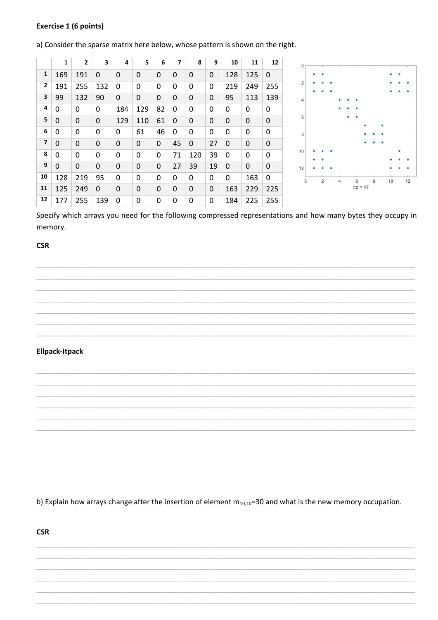#### **Exercise 1 (6 points)**

a) Consider the sparse matrix here below, whose pattern is shown on the right.

|                         | 1   | $\overline{2}$ | 3   | 4           | 5   | 6  | $\overline{ }$ | 8   | 9  | 10  | 11  | 12  |
|-------------------------|-----|----------------|-----|-------------|-----|----|----------------|-----|----|-----|-----|-----|
| 1                       | 169 | 191            | 0   | 0           | 0   | 0  | 0              | 0   | 0  | 128 | 125 | 0   |
| $\mathbf{2}$            | 191 | 255            | 132 | 0           | 0   | 0  | 0              | 0   | 0  | 219 | 249 | 255 |
| 3                       | 99  | 132            | 90  | 0           | 0   | 0  | 0              | 0   | 0  | 95  | 113 | 139 |
| 4                       | 0   | 0              | 0   | 184         | 129 | 82 | 0              | 0   | 0  | 0   | 0   | 0   |
| 5                       | 0   | 0              | 0   | 129         | 110 | 61 | 0              | 0   | 0  | 0   | 0   | 0   |
| 6                       | 0   | 0              | 0   | 0           | 61  | 46 | 0              | 0   | 0  | 0   | 0   | 0   |
| $\overline{\mathbf{z}}$ | 0   | 0              | 0   | 0           | 0   | 0  | 45             | 0   | 27 | 0   | 0   | 0   |
| 8                       | 0   | 0              | 0   | 0           | 0   | 0  | 71             | 120 | 39 | 0   | 0   | 0   |
| 9                       | 0   | 0              | 0   | $\mathbf 0$ | 0   | 0  | 27             | 39  | 19 | 0   | 0   | 0   |
| 10                      | 128 | 219            | 95  | 0           | 0   | 0  | 0              | 0   | 0  | 0   | 163 | 0   |
| 11                      | 125 | 249            | 0   | 0           | 0   | 0  | 0              | 0   | 0  | 163 | 229 | 225 |
| 12                      | 177 | 255            | 139 | 0           | 0   | 0  | 0              | 0   | 0  | 184 | 225 | 255 |



Specify which arrays you need for the following compressed representations and how many bytes they occupy in memory.

#### **CSR**

#### **Ellpack-Itpack**

b) Explain how arrays change after the insertion of element  $m_{10,10}$ =30 and what is the new memory occupation.

**CSR**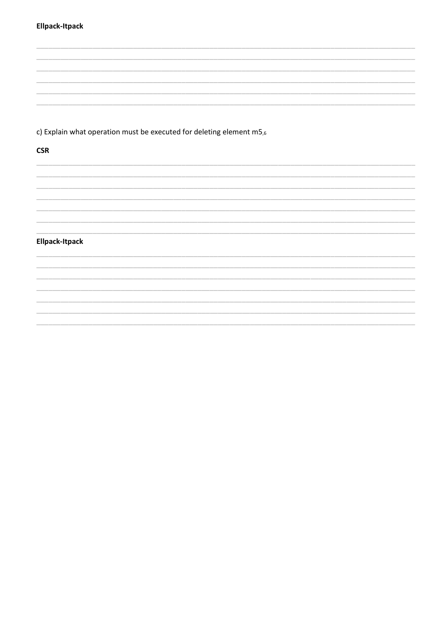# Ellpack-Itpack

c) Explain what operation must be executed for deleting element m5,6

### **CSR**

#### Ellpack-Itpack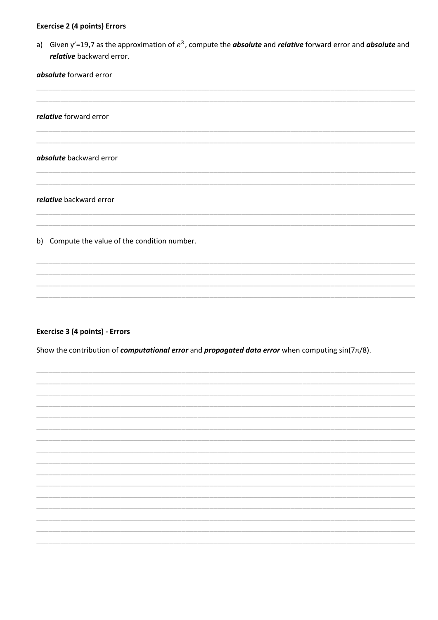#### **Exercise 2 (4 points) Errors**

a) Given y'=19,7 as the approximation of  $e^3$ , compute the **absolute** and *relative* forward error and **absolute** and relative backward error.

absolute forward error

relative forward error

#### absolute backward error

relative backward error

b) Compute the value of the condition number.

#### Exercise 3 (4 points) - Errors

Show the contribution of *computational error* and *propagated data error* when computing  $sin(7\pi/8)$ .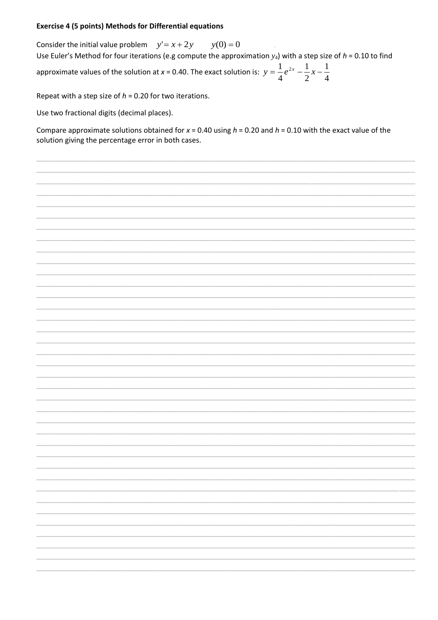#### **Exercise 4 (5 points) Methods for Differential equations**

Consider the initial value problem  $y' = x + 2y$  $y(0) = 0$ Use Euler's Method for four iterations (e.g compute the approximation  $y_4$ ) with a step size of  $h = 0.10$  to find approximate values of the solution at x = 0.40. The exact solution is:  $y = \frac{1}{4}e^{2x} - \frac{1}{2}x - \frac{1}{4}$ 

Repeat with a step size of  $h = 0.20$  for two iterations.

Use two fractional digits (decimal places).

Compare approximate solutions obtained for  $x = 0.40$  using  $h = 0.20$  and  $h = 0.10$  with the exact value of the solution giving the percentage error in both cases.

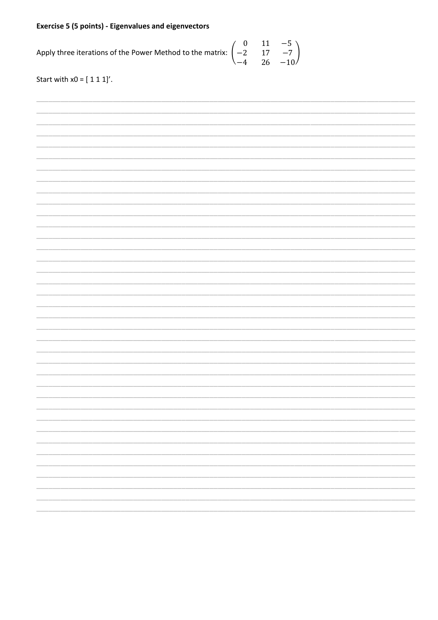# **Exercise 5 (5 points) - Eigenvalues and eigenvectors**

Apply three iterations of the Power Method to the matrix:  $\begin{pmatrix} 0 \\ -2 \\ -4 \end{pmatrix}$  $\begin{array}{c} 11 \\ 17 \\ 26 \end{array}$  $-5$ <br> $-7$ <br> $-10$ 

Start with  $x0 = [ 1 1 1]'$ .